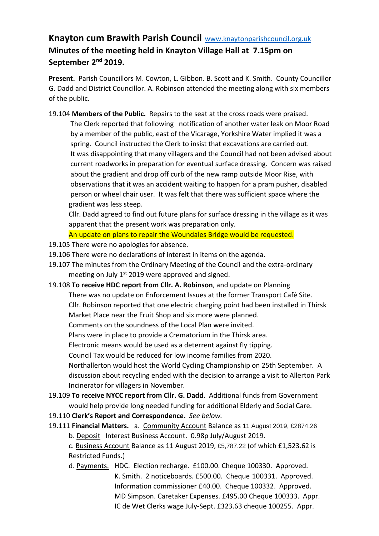## **Knayton cum Brawith Parish Council** [www.knaytonparishcouncil.org.uk](http://www.knaytonparishcouncil.org.uk/)  **Minutes of the meeting held in Knayton Village Hall at 7.15pm on September 2nd 2019.**

**Present.** Parish Councillors M. Cowton, L. Gibbon. B. Scott and K. Smith. County Councillor G. Dadd and District Councillor. A. Robinson attended the meeting along with six members of the public.

19.104 **Members of the Public.** Repairs to the seat at the cross roads were praised. The Clerk reported that following notification of another water leak on Moor Road by a member of the public, east of the Vicarage, Yorkshire Water implied it was a spring. Council instructed the Clerk to insist that excavations are carried out. It was disappointing that many villagers and the Council had not been advised about current roadworks in preparation for eventual surface dressing. Concern was raised about the gradient and drop off curb of the new ramp outside Moor Rise, with observations that it was an accident waiting to happen for a pram pusher, disabled person or wheel chair user. It was felt that there was sufficient space where the gradient was less steep.

Cllr. Dadd agreed to find out future plans for surface dressing in the village as it was apparent that the present work was preparation only.

An update on plans to repair the Woundales Bridge would be requested.

- 19.105 There were no apologies for absence.
- 19.106 There were no declarations of interest in items on the agenda.
- 19.107 The minutes from the Ordinary Meeting of the Council and the extra-ordinary meeting on July 1<sup>st</sup> 2019 were approved and signed.
- 19.108 **To receive HDC report from Cllr. A. Robinson**, and update on Planning There was no update on Enforcement Issues at the former Transport Café Site. Cllr. Robinson reported that one electric charging point had been installed in Thirsk Market Place near the Fruit Shop and six more were planned. Comments on the soundness of the Local Plan were invited. Plans were in place to provide a Crematorium in the Thirsk area. Electronic means would be used as a deterrent against fly tipping. Council Tax would be reduced for low income families from 2020. Northallerton would host the World Cycling Championship on 25th September. A discussion about recycling ended with the decision to arrange a visit to Allerton Park Incinerator for villagers in November.
- 19.109 **To receive NYCC report from Cllr. G. Dadd**.Additional funds from Government would help provide long needed funding for additional Elderly and Social Care.
- 19.110 **Clerk's Report and Correspondence.** *See below.*
- 19.111 **Financial Matters.** a. Community Account Balance as 11 August 2019, £2874.26 b. Deposit Interest Business Account. 0.98p July/August 2019.

c. Business Account Balance as 11 August 2019, £5,787.22 (of which £1,523.62 is Restricted Funds.)

d. Payments. HDC. Election recharge. £100.00. Cheque 100330. Approved. K. Smith. 2 noticeboards. £500.00. Cheque 100331. Approved. Information commissioner £40.00. Cheque 100332. Approved. MD Simpson. Caretaker Expenses. £495.00 Cheque 100333. Appr. IC de Wet Clerks wage July-Sept. £323.63 cheque 100255. Appr.